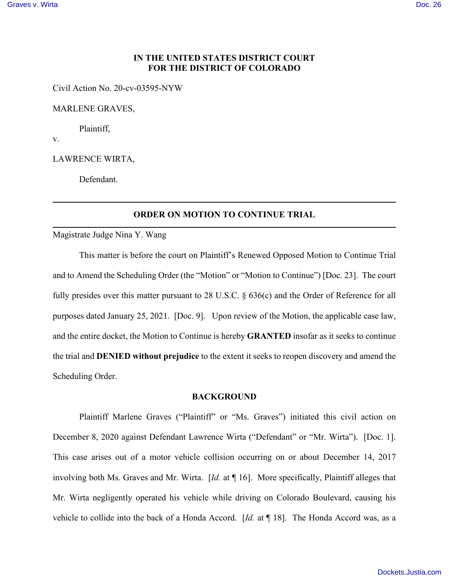# **IN THE UNITED STATES DISTRICT COURT FOR THE DISTRICT OF COLORADO**

Civil Action No. 20-cv-03595-NYW

MARLENE GRAVES,

Plaintiff,

v.

LAWRENCE WIRTA,

Defendant.

# **ORDER ON MOTION TO CONTINUE TRIAL**

Magistrate Judge Nina Y. Wang

This matter is before the court on Plaintiff's Renewed Opposed Motion to Continue Trial and to Amend the Scheduling Order (the "Motion" or "Motion to Continue") [Doc. 23]. The court fully presides over this matter pursuant to 28 U.S.C. § 636(c) and the Order of Reference for all purposes dated January 25, 2021. [Doc. 9]. Upon review of the Motion, the applicable case law, and the entire docket, the Motion to Continue is hereby **GRANTED** insofar as it seeks to continue the trial and **DENIED without prejudice** to the extent it seeks to reopen discovery and amend the Scheduling Order.

#### **BACKGROUND**

Plaintiff Marlene Graves ("Plaintiff" or "Ms. Graves") initiated this civil action on December 8, 2020 against Defendant Lawrence Wirta ("Defendant" or "Mr. Wirta"). [Doc. 1]. This case arises out of a motor vehicle collision occurring on or about December 14, 2017 involving both Ms. Graves and Mr. Wirta. [*Id.* at ¶ 16]. More specifically, Plaintiff alleges that Mr. Wirta negligently operated his vehicle while driving on Colorado Boulevard, causing his vehicle to collide into the back of a Honda Accord. [*Id.* at ¶ 18]. The Honda Accord was, as a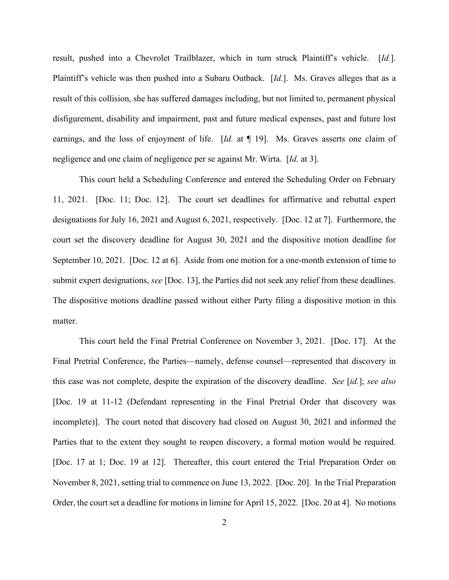result, pushed into a Chevrolet Trailblazer, which in turn struck Plaintiff's vehicle. [*Id.*]. Plaintiff's vehicle was then pushed into a Subaru Outback. [*Id.*]. Ms. Graves alleges that as a result of this collision, she has suffered damages including, but not limited to, permanent physical disfigurement, disability and impairment, past and future medical expenses, past and future lost earnings, and the loss of enjoyment of life. [*Id.* at **[** 19]. Ms. Graves asserts one claim of negligence and one claim of negligence per se against Mr. Wirta. [*Id.* at 3].

This court held a Scheduling Conference and entered the Scheduling Order on February 11, 2021. [Doc. 11; Doc. 12]. The court set deadlines for affirmative and rebuttal expert designations for July 16, 2021 and August 6, 2021, respectively. [Doc. 12 at 7]. Furthermore, the court set the discovery deadline for August 30, 2021 and the dispositive motion deadline for September 10, 2021. [Doc. 12 at 6]. Aside from one motion for a one-month extension of time to submit expert designations, *see* [Doc. 13], the Parties did not seek any relief from these deadlines. The dispositive motions deadline passed without either Party filing a dispositive motion in this matter.

This court held the Final Pretrial Conference on November 3, 2021. [Doc. 17]. At the Final Pretrial Conference, the Parties—namely, defense counsel—represented that discovery in this case was not complete, despite the expiration of the discovery deadline. *See* [*id.*]; *see also* [Doc. 19 at 11-12 (Defendant representing in the Final Pretrial Order that discovery was incomplete)]. The court noted that discovery had closed on August 30, 2021 and informed the Parties that to the extent they sought to reopen discovery, a formal motion would be required. [Doc. 17 at 1; Doc. 19 at 12]. Thereafter, this court entered the Trial Preparation Order on November 8, 2021, setting trial to commence on June 13, 2022. [Doc. 20]. In the Trial Preparation Order, the court set a deadline for motions in limine for April 15, 2022. [Doc. 20 at 4]. No motions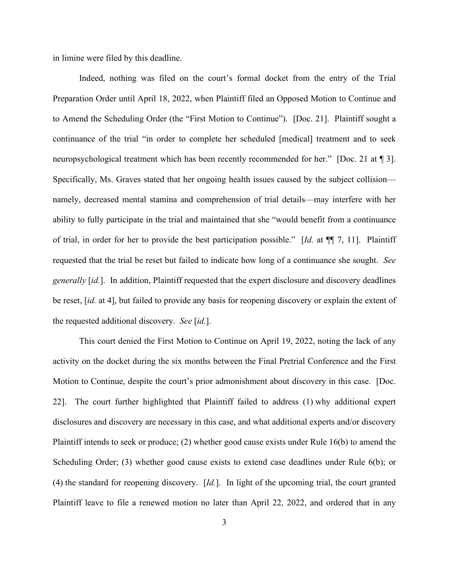in limine were filed by this deadline.

Indeed, nothing was filed on the court's formal docket from the entry of the Trial Preparation Order until April 18, 2022, when Plaintiff filed an Opposed Motion to Continue and to Amend the Scheduling Order (the "First Motion to Continue"). [Doc. 21]. Plaintiff sought a continuance of the trial "in order to complete her scheduled [medical] treatment and to seek neuropsychological treatment which has been recently recommended for her." [Doc. 21 at ¶ 3]. Specifically, Ms. Graves stated that her ongoing health issues caused by the subject collision namely, decreased mental stamina and comprehension of trial details—may interfere with her ability to fully participate in the trial and maintained that she "would benefit from a continuance of trial, in order for her to provide the best participation possible." [*Id.* at ¶¶ 7, 11]. Plaintiff requested that the trial be reset but failed to indicate how long of a continuance she sought. *See generally* [*id.*]. In addition, Plaintiff requested that the expert disclosure and discovery deadlines be reset, [*id.* at 4], but failed to provide any basis for reopening discovery or explain the extent of the requested additional discovery. *See* [*id.*].

This court denied the First Motion to Continue on April 19, 2022, noting the lack of any activity on the docket during the six months between the Final Pretrial Conference and the First Motion to Continue, despite the court's prior admonishment about discovery in this case. [Doc. 22]. The court further highlighted that Plaintiff failed to address (1) why additional expert disclosures and discovery are necessary in this case, and what additional experts and/or discovery Plaintiff intends to seek or produce; (2) whether good cause exists under Rule 16(b) to amend the Scheduling Order; (3) whether good cause exists to extend case deadlines under Rule 6(b); or (4) the standard for reopening discovery. [*Id.*]. In light of the upcoming trial, the court granted Plaintiff leave to file a renewed motion no later than April 22, 2022, and ordered that in any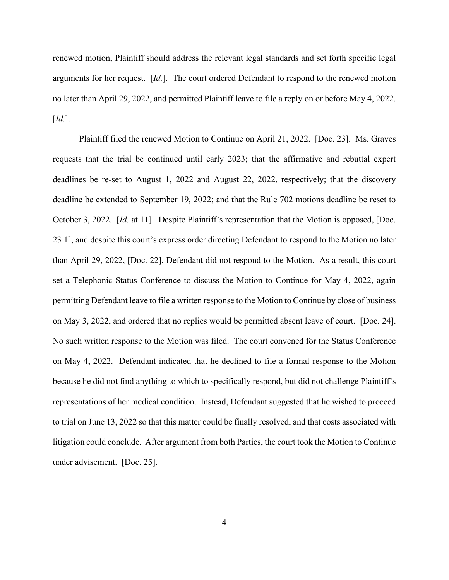renewed motion, Plaintiff should address the relevant legal standards and set forth specific legal arguments for her request. [*Id.*]. The court ordered Defendant to respond to the renewed motion no later than April 29, 2022, and permitted Plaintiff leave to file a reply on or before May 4, 2022. [*Id.*].

Plaintiff filed the renewed Motion to Continue on April 21, 2022. [Doc. 23]. Ms. Graves requests that the trial be continued until early 2023; that the affirmative and rebuttal expert deadlines be re-set to August 1, 2022 and August 22, 2022, respectively; that the discovery deadline be extended to September 19, 2022; and that the Rule 702 motions deadline be reset to October 3, 2022. [*Id.* at 11]. Despite Plaintiff's representation that the Motion is opposed, [Doc. 23 1], and despite this court's express order directing Defendant to respond to the Motion no later than April 29, 2022, [Doc. 22], Defendant did not respond to the Motion. As a result, this court set a Telephonic Status Conference to discuss the Motion to Continue for May 4, 2022, again permitting Defendant leave to file a written response to the Motion to Continue by close of business on May 3, 2022, and ordered that no replies would be permitted absent leave of court. [Doc. 24]. No such written response to the Motion was filed. The court convened for the Status Conference on May 4, 2022. Defendant indicated that he declined to file a formal response to the Motion because he did not find anything to which to specifically respond, but did not challenge Plaintiff's representations of her medical condition. Instead, Defendant suggested that he wished to proceed to trial on June 13, 2022 so that this matter could be finally resolved, and that costs associated with litigation could conclude. After argument from both Parties, the court took the Motion to Continue under advisement. [Doc. 25].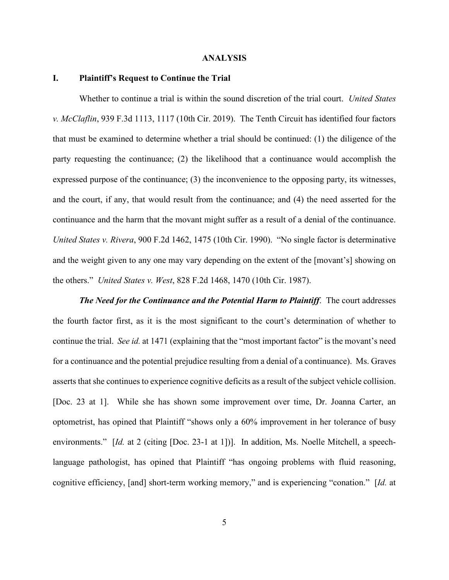#### **ANALYSIS**

## **I. Plaintiff's Request to Continue the Trial**

Whether to continue a trial is within the sound discretion of the trial court. *United States v. McClaflin*, 939 F.3d 1113, 1117 (10th Cir. 2019). The Tenth Circuit has identified four factors that must be examined to determine whether a trial should be continued: (1) the diligence of the party requesting the continuance; (2) the likelihood that a continuance would accomplish the expressed purpose of the continuance; (3) the inconvenience to the opposing party, its witnesses, and the court, if any, that would result from the continuance; and (4) the need asserted for the continuance and the harm that the movant might suffer as a result of a denial of the continuance. *United States v. Rivera*, 900 F.2d 1462, 1475 (10th Cir. 1990). "No single factor is determinative and the weight given to any one may vary depending on the extent of the [movant's] showing on the others." *United States v. West*, 828 F.2d 1468, 1470 (10th Cir. 1987).

*The Need for the Continuance and the Potential Harm to Plaintiff*. The court addresses the fourth factor first, as it is the most significant to the court's determination of whether to continue the trial. *See id.* at 1471 (explaining that the "most important factor" is the movant's need for a continuance and the potential prejudice resulting from a denial of a continuance). Ms. Graves asserts that she continues to experience cognitive deficits as a result of the subject vehicle collision. [Doc. 23 at 1]. While she has shown some improvement over time, Dr. Joanna Carter, an optometrist, has opined that Plaintiff "shows only a 60% improvement in her tolerance of busy environments." [*Id.* at 2 (citing [Doc. 23-1 at 1])]. In addition, Ms. Noelle Mitchell, a speechlanguage pathologist, has opined that Plaintiff "has ongoing problems with fluid reasoning, cognitive efficiency, [and] short-term working memory," and is experiencing "conation." [*Id.* at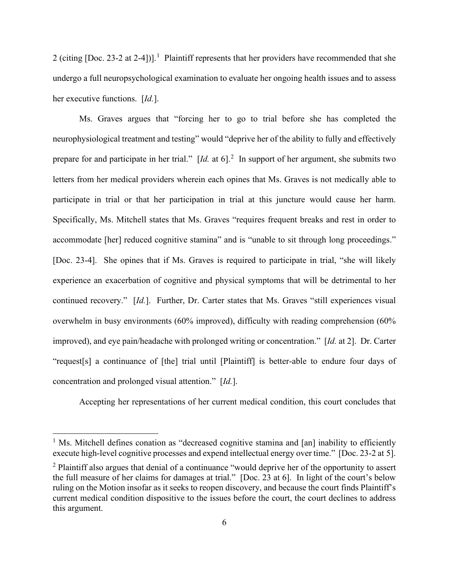2 (citing [Doc. 23-2 at 2-4])].<sup>1</sup> Plaintiff represents that her providers have recommended that she undergo a full neuropsychological examination to evaluate her ongoing health issues and to assess her executive functions. [*Id.*].

Ms. Graves argues that "forcing her to go to trial before she has completed the neurophysiological treatment and testing" would "deprive her of the ability to fully and effectively prepare for and participate in her trial."  $[Id.$  at 6].<sup>2</sup> In support of her argument, she submits two letters from her medical providers wherein each opines that Ms. Graves is not medically able to participate in trial or that her participation in trial at this juncture would cause her harm. Specifically, Ms. Mitchell states that Ms. Graves "requires frequent breaks and rest in order to accommodate [her] reduced cognitive stamina" and is "unable to sit through long proceedings." [Doc. 23-4]. She opines that if Ms. Graves is required to participate in trial, "she will likely experience an exacerbation of cognitive and physical symptoms that will be detrimental to her continued recovery." [*Id.*]. Further, Dr. Carter states that Ms. Graves "still experiences visual overwhelm in busy environments (60% improved), difficulty with reading comprehension (60% improved), and eye pain/headache with prolonged writing or concentration." [*Id.* at 2]. Dr. Carter "request[s] a continuance of [the] trial until [Plaintiff] is better-able to endure four days of concentration and prolonged visual attention." [*Id.*].

Accepting her representations of her current medical condition, this court concludes that

<sup>&</sup>lt;sup>1</sup> Ms. Mitchell defines conation as "decreased cognitive stamina and [an] inability to efficiently execute high-level cognitive processes and expend intellectual energy over time." [Doc. 23-2 at 5].

<sup>&</sup>lt;sup>2</sup> Plaintiff also argues that denial of a continuance "would deprive her of the opportunity to assert the full measure of her claims for damages at trial." [Doc. 23 at 6]. In light of the court's below ruling on the Motion insofar as it seeks to reopen discovery, and because the court finds Plaintiff's current medical condition dispositive to the issues before the court, the court declines to address this argument.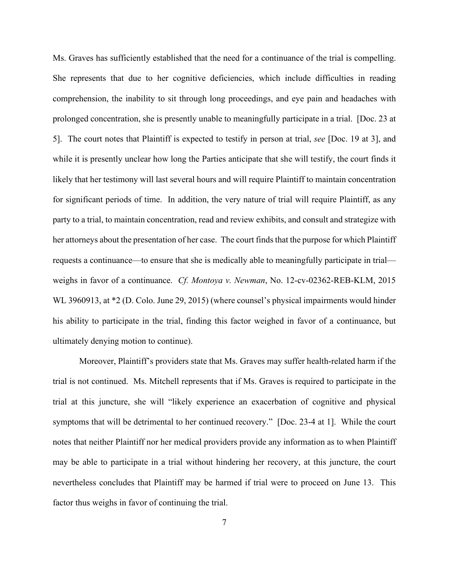Ms. Graves has sufficiently established that the need for a continuance of the trial is compelling. She represents that due to her cognitive deficiencies, which include difficulties in reading comprehension, the inability to sit through long proceedings, and eye pain and headaches with prolonged concentration, she is presently unable to meaningfully participate in a trial. [Doc. 23 at 5]. The court notes that Plaintiff is expected to testify in person at trial, *see* [Doc. 19 at 3], and while it is presently unclear how long the Parties anticipate that she will testify, the court finds it likely that her testimony will last several hours and will require Plaintiff to maintain concentration for significant periods of time. In addition, the very nature of trial will require Plaintiff, as any party to a trial, to maintain concentration, read and review exhibits, and consult and strategize with her attorneys about the presentation of her case. The court finds that the purpose for which Plaintiff requests a continuance—to ensure that she is medically able to meaningfully participate in trial weighs in favor of a continuance. *Cf. Montoya v. Newman*, No. 12-cv-02362-REB-KLM, 2015 WL 3960913, at  $*2$  (D. Colo. June 29, 2015) (where counsel's physical impairments would hinder his ability to participate in the trial, finding this factor weighed in favor of a continuance, but ultimately denying motion to continue).

Moreover, Plaintiff's providers state that Ms. Graves may suffer health-related harm if the trial is not continued. Ms. Mitchell represents that if Ms. Graves is required to participate in the trial at this juncture, she will "likely experience an exacerbation of cognitive and physical symptoms that will be detrimental to her continued recovery." [Doc. 23-4 at 1]. While the court notes that neither Plaintiff nor her medical providers provide any information as to when Plaintiff may be able to participate in a trial without hindering her recovery, at this juncture, the court nevertheless concludes that Plaintiff may be harmed if trial were to proceed on June 13. This factor thus weighs in favor of continuing the trial.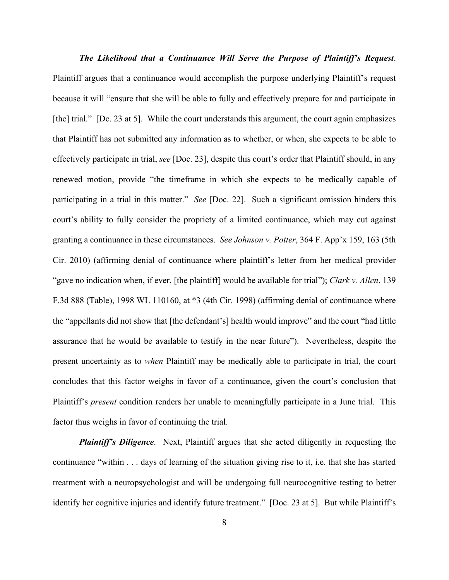*The Likelihood that a Continuance Will Serve the Purpose of Plaintiff's Request*. Plaintiff argues that a continuance would accomplish the purpose underlying Plaintiff's request because it will "ensure that she will be able to fully and effectively prepare for and participate in [the] trial." [Dc. 23 at 5]. While the court understands this argument, the court again emphasizes that Plaintiff has not submitted any information as to whether, or when, she expects to be able to effectively participate in trial, *see* [Doc. 23], despite this court's order that Plaintiff should, in any renewed motion, provide "the timeframe in which she expects to be medically capable of participating in a trial in this matter." *See* [Doc. 22]. Such a significant omission hinders this court's ability to fully consider the propriety of a limited continuance, which may cut against granting a continuance in these circumstances. *See Johnson v. Potter*, 364 F. App'x 159, 163 (5th Cir. 2010) (affirming denial of continuance where plaintiff's letter from her medical provider "gave no indication when, if ever, [the plaintiff] would be available for trial"); *Clark v. Allen*, 139 F.3d 888 (Table), 1998 WL 110160, at \*3 (4th Cir. 1998) (affirming denial of continuance where the "appellants did not show that [the defendant's] health would improve" and the court "had little assurance that he would be available to testify in the near future"). Nevertheless, despite the present uncertainty as to *when* Plaintiff may be medically able to participate in trial, the court concludes that this factor weighs in favor of a continuance, given the court's conclusion that Plaintiff's *present* condition renders her unable to meaningfully participate in a June trial. This factor thus weighs in favor of continuing the trial.

*Plaintiff's Diligence.* Next, Plaintiff argues that she acted diligently in requesting the continuance "within . . . days of learning of the situation giving rise to it, i.e. that she has started treatment with a neuropsychologist and will be undergoing full neurocognitive testing to better identify her cognitive injuries and identify future treatment." [Doc. 23 at 5]. But while Plaintiff's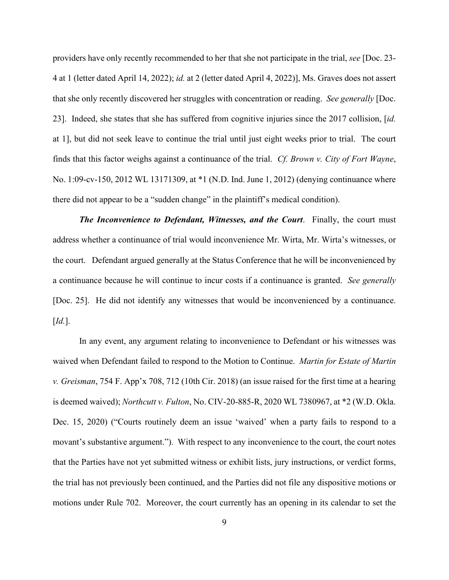providers have only recently recommended to her that she not participate in the trial, *see* [Doc. 23- 4 at 1 (letter dated April 14, 2022); *id.* at 2 (letter dated April 4, 2022)], Ms. Graves does not assert that she only recently discovered her struggles with concentration or reading. *See generally* [Doc. 23]. Indeed, she states that she has suffered from cognitive injuries since the 2017 collision, [*id.* at 1], but did not seek leave to continue the trial until just eight weeks prior to trial. The court finds that this factor weighs against a continuance of the trial. *Cf. Brown v. City of Fort Wayne*, No. 1:09-cv-150, 2012 WL 13171309, at \*1 (N.D. Ind. June 1, 2012) (denying continuance where there did not appear to be a "sudden change" in the plaintiff's medical condition).

*The Inconvenience to Defendant, Witnesses, and the Court*. Finally, the court must address whether a continuance of trial would inconvenience Mr. Wirta, Mr. Wirta's witnesses, or the court. Defendant argued generally at the Status Conference that he will be inconvenienced by a continuance because he will continue to incur costs if a continuance is granted. *See generally* [Doc. 25]. He did not identify any witnesses that would be inconvenienced by a continuance. [*Id.*].

In any event, any argument relating to inconvenience to Defendant or his witnesses was waived when Defendant failed to respond to the Motion to Continue. *Martin for Estate of Martin v. Greisman*, 754 F. App'x 708, 712 (10th Cir. 2018) (an issue raised for the first time at a hearing is deemed waived); *Northcutt v. Fulton*, No. CIV-20-885-R, 2020 WL 7380967, at \*2 (W.D. Okla. Dec. 15, 2020) ("Courts routinely deem an issue 'waived' when a party fails to respond to a movant's substantive argument."). With respect to any inconvenience to the court, the court notes that the Parties have not yet submitted witness or exhibit lists, jury instructions, or verdict forms, the trial has not previously been continued, and the Parties did not file any dispositive motions or motions under Rule 702. Moreover, the court currently has an opening in its calendar to set the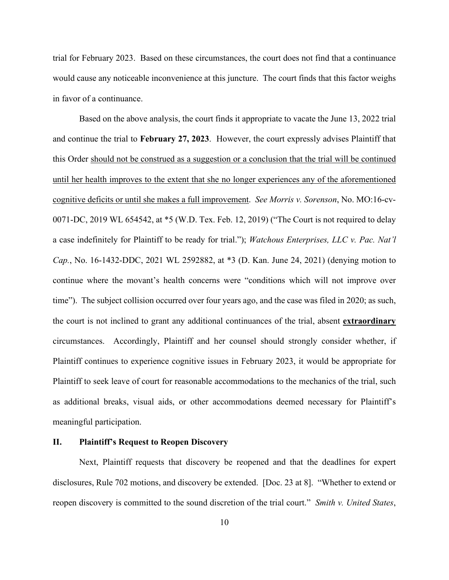trial for February 2023. Based on these circumstances, the court does not find that a continuance would cause any noticeable inconvenience at this juncture. The court finds that this factor weighs in favor of a continuance.

Based on the above analysis, the court finds it appropriate to vacate the June 13, 2022 trial and continue the trial to **February 27, 2023**. However, the court expressly advises Plaintiff that this Order should not be construed as a suggestion or a conclusion that the trial will be continued until her health improves to the extent that she no longer experiences any of the aforementioned cognitive deficits or until she makes a full improvement. *See Morris v. Sorenson*, No. MO:16-cv-0071-DC, 2019 WL 654542, at \*5 (W.D. Tex. Feb. 12, 2019) ("The Court is not required to delay a case indefinitely for Plaintiff to be ready for trial."); *Watchous Enterprises, LLC v. Pac. Nat'l Cap.*, No. 16-1432-DDC, 2021 WL 2592882, at \*3 (D. Kan. June 24, 2021) (denying motion to continue where the movant's health concerns were "conditions which will not improve over time"). The subject collision occurred over four years ago, and the case was filed in 2020; as such, the court is not inclined to grant any additional continuances of the trial, absent **extraordinary** circumstances. Accordingly, Plaintiff and her counsel should strongly consider whether, if Plaintiff continues to experience cognitive issues in February 2023, it would be appropriate for Plaintiff to seek leave of court for reasonable accommodations to the mechanics of the trial, such as additional breaks, visual aids, or other accommodations deemed necessary for Plaintiff's meaningful participation.

## **II. Plaintiff's Request to Reopen Discovery**

Next, Plaintiff requests that discovery be reopened and that the deadlines for expert disclosures, Rule 702 motions, and discovery be extended. [Doc. 23 at 8]. "Whether to extend or reopen discovery is committed to the sound discretion of the trial court." *Smith v. United States*,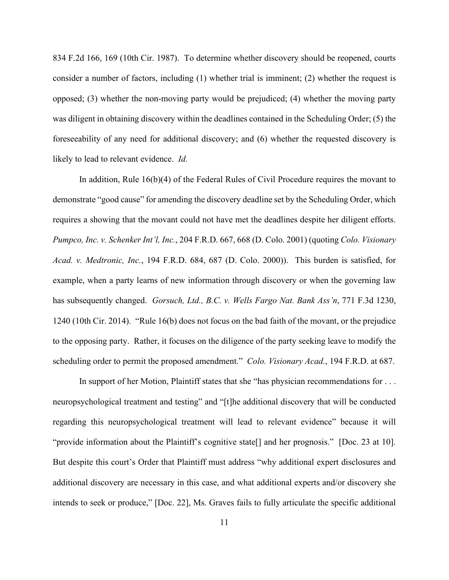834 F.2d 166, 169 (10th Cir. 1987). To determine whether discovery should be reopened, courts consider a number of factors, including (1) whether trial is imminent; (2) whether the request is opposed; (3) whether the non-moving party would be prejudiced; (4) whether the moving party was diligent in obtaining discovery within the deadlines contained in the Scheduling Order; (5) the foreseeability of any need for additional discovery; and (6) whether the requested discovery is likely to lead to relevant evidence. *Id.*

In addition, Rule 16(b)(4) of the Federal Rules of Civil Procedure requires the movant to demonstrate "good cause" for amending the discovery deadline set by the Scheduling Order, which requires a showing that the movant could not have met the deadlines despite her diligent efforts. *Pumpco, Inc. v. Schenker Int'l, Inc.*, 204 F.R.D. 667, 668 (D. Colo. 2001) (quoting *Colo. Visionary Acad. v. Medtronic, Inc.*, 194 F.R.D. 684, 687 (D. Colo. 2000)). This burden is satisfied, for example, when a party learns of new information through discovery or when the governing law has subsequently changed. *Gorsuch, Ltd., B.C. v. Wells Fargo Nat. Bank Ass'n*, 771 F.3d 1230, 1240 (10th Cir. 2014)."Rule 16(b) does not focus on the bad faith of the movant, or the prejudice to the opposing party. Rather, it focuses on the diligence of the party seeking leave to modify the scheduling order to permit the proposed amendment." *Colo. Visionary Acad.*, 194 F.R.D. at 687.

In support of her Motion, Plaintiff states that she "has physician recommendations for . . . neuropsychological treatment and testing" and "[t]he additional discovery that will be conducted regarding this neuropsychological treatment will lead to relevant evidence" because it will "provide information about the Plaintiff's cognitive state[] and her prognosis." [Doc. 23 at 10]. But despite this court's Order that Plaintiff must address "why additional expert disclosures and additional discovery are necessary in this case, and what additional experts and/or discovery she intends to seek or produce," [Doc. 22], Ms. Graves fails to fully articulate the specific additional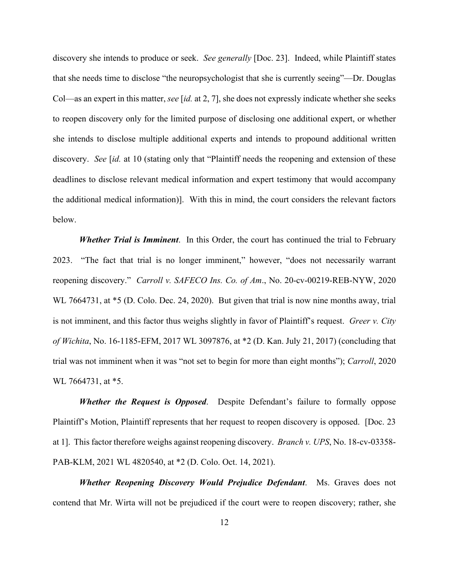discovery she intends to produce or seek. *See generally* [Doc. 23]. Indeed, while Plaintiff states that she needs time to disclose "the neuropsychologist that she is currently seeing"—Dr. Douglas Col—as an expert in this matter, *see* [*id.* at 2, 7], she does not expressly indicate whether she seeks to reopen discovery only for the limited purpose of disclosing one additional expert, or whether she intends to disclose multiple additional experts and intends to propound additional written discovery. *See* [*id.* at 10 (stating only that "Plaintiff needs the reopening and extension of these deadlines to disclose relevant medical information and expert testimony that would accompany the additional medical information)]. With this in mind, the court considers the relevant factors below.

*Whether Trial is Imminent*. In this Order, the court has continued the trial to February 2023. "The fact that trial is no longer imminent," however, "does not necessarily warrant reopening discovery." *Carroll v. SAFECO Ins. Co. of Am*., No. 20-cv-00219-REB-NYW, 2020 WL 7664731, at  $*$ 5 (D. Colo. Dec. 24, 2020). But given that trial is now nine months away, trial is not imminent, and this factor thus weighs slightly in favor of Plaintiff's request. *Greer v. City of Wichita*, No. 16-1185-EFM, 2017 WL 3097876, at \*2 (D. Kan. July 21, 2017) (concluding that trial was not imminent when it was "not set to begin for more than eight months"); *Carroll*, 2020 WL 7664731, at \*5.

*Whether the Request is Opposed*. Despite Defendant's failure to formally oppose Plaintiff's Motion, Plaintiff represents that her request to reopen discovery is opposed. [Doc. 23 at 1]. This factor therefore weighs against reopening discovery. *Branch v. UPS*, No. 18-cv-03358- PAB-KLM, 2021 WL 4820540, at \*2 (D. Colo. Oct. 14, 2021).

*Whether Reopening Discovery Would Prejudice Defendant*. Ms. Graves does not contend that Mr. Wirta will not be prejudiced if the court were to reopen discovery; rather, she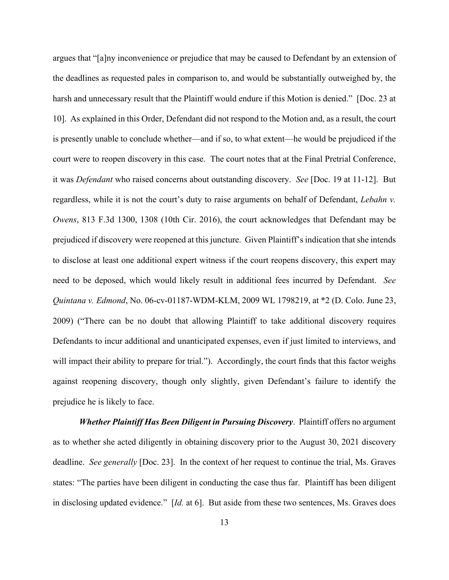argues that "[a]ny inconvenience or prejudice that may be caused to Defendant by an extension of the deadlines as requested pales in comparison to, and would be substantially outweighed by, the harsh and unnecessary result that the Plaintiff would endure if this Motion is denied." [Doc. 23 at 10]. As explained in this Order, Defendant did not respond to the Motion and, as a result, the court is presently unable to conclude whether—and if so, to what extent—he would be prejudiced if the court were to reopen discovery in this case. The court notes that at the Final Pretrial Conference, it was *Defendant* who raised concerns about outstanding discovery. *See* [Doc. 19 at 11-12]. But regardless, while it is not the court's duty to raise arguments on behalf of Defendant, *Lebahn v. Owens*, 813 F.3d 1300, 1308 (10th Cir. 2016), the court acknowledges that Defendant may be prejudiced if discovery were reopened at this juncture. Given Plaintiff's indication that she intends to disclose at least one additional expert witness if the court reopens discovery, this expert may need to be deposed, which would likely result in additional fees incurred by Defendant. *See Quintana v. Edmond*, No. 06-cv-01187-WDM-KLM, 2009 WL 1798219, at \*2 (D. Colo. June 23, 2009) ("There can be no doubt that allowing Plaintiff to take additional discovery requires Defendants to incur additional and unanticipated expenses, even if just limited to interviews, and will impact their ability to prepare for trial."). Accordingly, the court finds that this factor weighs against reopening discovery, though only slightly, given Defendant's failure to identify the prejudice he is likely to face.

*Whether Plaintiff Has Been Diligent in Pursuing Discovery*. Plaintiff offers no argument as to whether she acted diligently in obtaining discovery prior to the August 30, 2021 discovery deadline. *See generally* [Doc. 23]. In the context of her request to continue the trial, Ms. Graves states: "The parties have been diligent in conducting the case thus far. Plaintiff has been diligent in disclosing updated evidence." [*Id.* at 6]. But aside from these two sentences, Ms. Graves does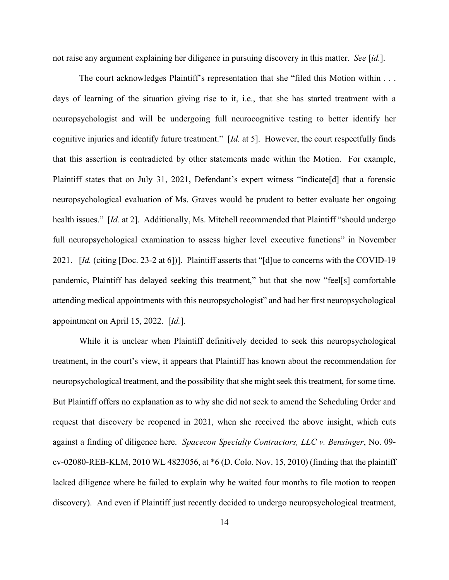not raise any argument explaining her diligence in pursuing discovery in this matter. *See* [*id.*].

The court acknowledges Plaintiff's representation that she "filed this Motion within . . . days of learning of the situation giving rise to it, i.e., that she has started treatment with a neuropsychologist and will be undergoing full neurocognitive testing to better identify her cognitive injuries and identify future treatment." [*Id.* at 5]. However, the court respectfully finds that this assertion is contradicted by other statements made within the Motion. For example, Plaintiff states that on July 31, 2021, Defendant's expert witness "indicate[d] that a forensic neuropsychological evaluation of Ms. Graves would be prudent to better evaluate her ongoing health issues." [*Id.* at 2]. Additionally, Ms. Mitchell recommended that Plaintiff "should undergo full neuropsychological examination to assess higher level executive functions" in November 2021. [*Id.* (citing [Doc. 23-2 at 6])]. Plaintiff asserts that "[d]ue to concerns with the COVID-19 pandemic, Plaintiff has delayed seeking this treatment," but that she now "feel[s] comfortable attending medical appointments with this neuropsychologist" and had her first neuropsychological appointment on April 15, 2022. [*Id.*].

While it is unclear when Plaintiff definitively decided to seek this neuropsychological treatment, in the court's view, it appears that Plaintiff has known about the recommendation for neuropsychological treatment, and the possibility that she might seek this treatment, for some time. But Plaintiff offers no explanation as to why she did not seek to amend the Scheduling Order and request that discovery be reopened in 2021, when she received the above insight, which cuts against a finding of diligence here. *Spacecon Specialty Contractors, LLC v. Bensinger*, No. 09 cv-02080-REB-KLM, 2010 WL 4823056, at \*6 (D. Colo. Nov. 15, 2010) (finding that the plaintiff lacked diligence where he failed to explain why he waited four months to file motion to reopen discovery). And even if Plaintiff just recently decided to undergo neuropsychological treatment,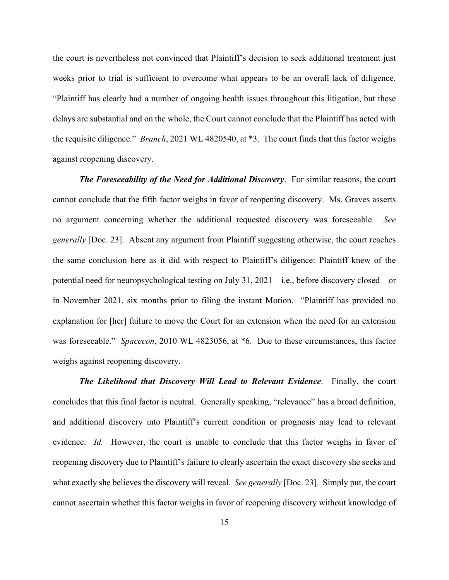the court is nevertheless not convinced that Plaintiff's decision to seek additional treatment just weeks prior to trial is sufficient to overcome what appears to be an overall lack of diligence. "Plaintiff has clearly had a number of ongoing health issues throughout this litigation, but these delays are substantial and on the whole, the Court cannot conclude that the Plaintiff has acted with the requisite diligence." *Branch*, 2021 WL 4820540, at \*3. The court finds that this factor weighs against reopening discovery.

*The Foreseeability of the Need for Additional Discovery*. For similar reasons, the court cannot conclude that the fifth factor weighs in favor of reopening discovery. Ms. Graves asserts no argument concerning whether the additional requested discovery was foreseeable. *See generally* [Doc. 23]. Absent any argument from Plaintiff suggesting otherwise, the court reaches the same conclusion here as it did with respect to Plaintiff's diligence: Plaintiff knew of the potential need for neuropsychological testing on July 31, 2021—i.e., before discovery closed—or in November 2021, six months prior to filing the instant Motion. "Plaintiff has provided no explanation for [her] failure to move the Court for an extension when the need for an extension was foreseeable." *Spacecon*, 2010 WL 4823056, at \*6. Due to these circumstances, this factor weighs against reopening discovery.

*The Likelihood that Discovery Will Lead to Relevant Evidence*. Finally, the court concludes that this final factor is neutral. Generally speaking, "relevance" has a broad definition, and additional discovery into Plaintiff's current condition or prognosis may lead to relevant evidence. *Id.* However, the court is unable to conclude that this factor weighs in favor of reopening discovery due to Plaintiff's failure to clearly ascertain the exact discovery she seeks and what exactly she believes the discovery will reveal. *See generally* [Doc. 23]. Simply put, the court cannot ascertain whether this factor weighs in favor of reopening discovery without knowledge of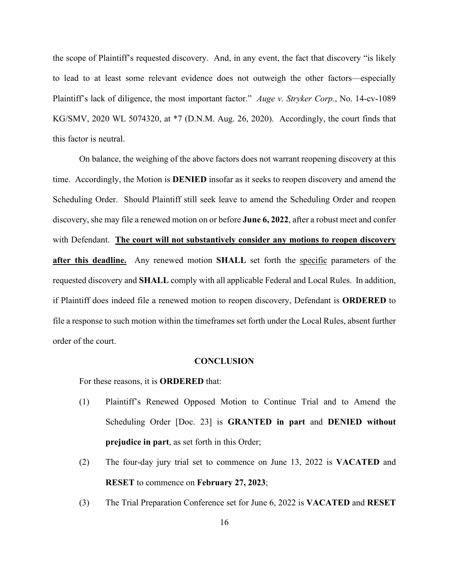the scope of Plaintiff's requested discovery. And, in any event, the fact that discovery "is likely to lead to at least some relevant evidence does not outweigh the other factors—especially Plaintiff's lack of diligence, the most important factor." *Auge v. Stryker Corp.*, No. 14-cv-1089 KG/SMV, 2020 WL 5074320, at \*7 (D.N.M. Aug. 26, 2020). Accordingly, the court finds that this factor is neutral.

On balance, the weighing of the above factors does not warrant reopening discovery at this time. Accordingly, the Motion is **DENIED** insofar as it seeks to reopen discovery and amend the Scheduling Order. Should Plaintiff still seek leave to amend the Scheduling Order and reopen discovery, she may file a renewed motion on or before **June 6, 2022**, after a robust meet and confer with Defendant. **The court will not substantively consider any motions to reopen discovery after this deadline.** Any renewed motion **SHALL** set forth the specific parameters of the requested discovery and **SHALL** comply with all applicable Federal and Local Rules. In addition, if Plaintiff does indeed file a renewed motion to reopen discovery, Defendant is **ORDERED** to file a response to such motion within the timeframes set forth under the Local Rules, absent further order of the court.

### **CONCLUSION**

For these reasons, it is **ORDERED** that:

- (1) Plaintiff's Renewed Opposed Motion to Continue Trial and to Amend the Scheduling Order [Doc. 23] is **GRANTED in part** and **DENIED without prejudice in part**, as set forth in this Order;
- (2) The four-day jury trial set to commence on June 13, 2022 is **VACATED** and **RESET** to commence on **February 27, 2023**;
- (3) The Trial Preparation Conference set for June 6, 2022 is **VACATED** and **RESET**